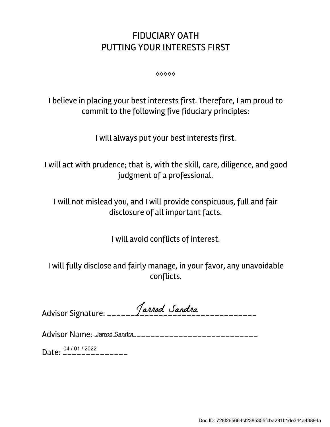## FIDUCIARY OATH PUTTING YOUR INTERESTS FIRST

 $00000$ 

I believe in placing your best interests first. Therefore, I am proud to commit to the following five fiduciary principles:

I will always put your best interests first.

I will act with prudence; that is, with the skill, care, diligence, and good judgment of a professional.

I will not mislead you, and I will provide conspicuous, full and fair disclosure of all important facts.

I will avoid conflicts of interest.

I will fully disclose and fairly manage, in your favor, any unavoidable conflicts.

|  | Tarrod Sandra |
|--|---------------|
|  |               |

Advisor Name: <u>Jarrod Sandra \_\_\_\_\_\_\_\_\_\_\_\_\_\_\_\_\_\_\_\_\_\_\_\_\_\_\_</u>\_\_\_

Date:  $\frac{04/01/2022}{---------}$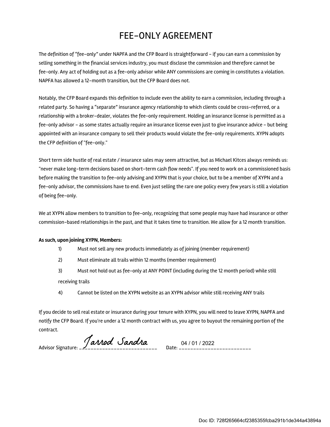## FEE-ONLY AGREEMENT

The definition of "fee-only" under NAPFA and the CFP Board is straightforward - if you can earn a commission by selling something in the financial services industry, you must disclose the commission and therefore cannot be fee-only. Any act of holding out as a fee-only advisor while ANY commissions are coming in constitutes a violation. NAPFA has allowed a 12-month transition, but the CFP Board does not.

Notably, the CFP Board expands this definition to include even the ability to earn a commission, including through a related party. So having a "separate" insurance agency relationship to which clients could be cross-referred, or a relationship with a broker-dealer, violates the fee-only requirement. Holding an insurance license is permitted as a fee-only advisor - as some states actually require an insurance license even just to give insurance advice - but being appointed with an insurance company to sell their products would violate the fee-only requirements. XYPN adopts the CFP definition of "fee-only."

Short term side hustle of real estate / insurance sales may seem attractive, but as Michael Kitces always reminds us: "never make long-term decisions based on short-term cash flow needs". If you need to work on a commissioned basis before making the transition to fee-only advising and XYPN that is your choice, but to be a member of XYPN and a fee-only advisor, the commissions have to end. Even just selling the rare one policy every few years is still a violation of being fee-only.

We at XYPN allow members to transition to fee-only, recognizing that some people may have had insurance or other commission-based relationships in the past, and that it takes time to transition. We allow for a 12 month transition.

## As such, upon joining XYPN, Members:

- 1) Must not sell any new products immediately as of joining (member requirement)
- 2) Must eliminate all trails within 12 months (member requirement)
- 3) Must not hold out as fee-only at ANY POINT (including during the 12 month period) while still receiving trails
- 4) Cannot be listed on the XYPN website as an XYPN advisor while still receiving ANY trails

If you decide to sell real estate or insurance during your tenure with XYPN, you will need to leave XYPN, NAPFA and notify the CFP Board. If you're under a 12 month contract with us, you agree to buyout the remaining portion of the contract.

Advisor Signature: \_\_\_\_\_\_\_\_\_\_\_\_\_\_\_\_\_\_\_\_\_\_\_\_\_\_\_ Date: \_\_\_\_\_\_\_\_\_\_\_\_\_\_\_\_\_\_\_\_\_\_\_\_\_ 04 / 01 / 2022